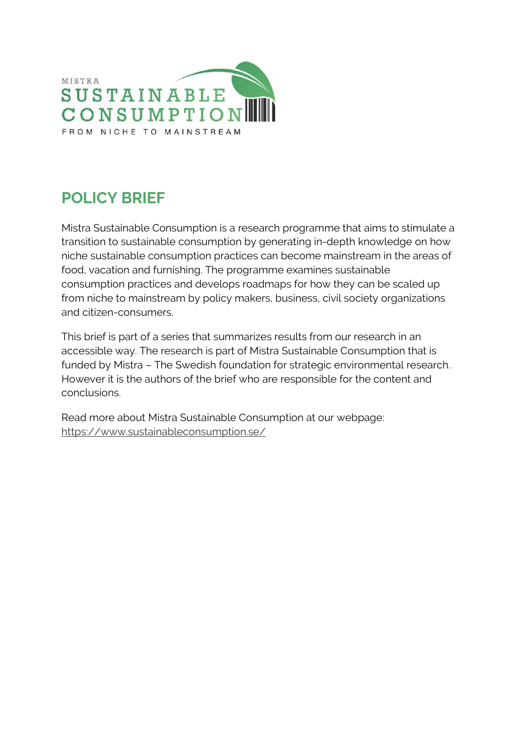

# **POLICY BRIEF**

Mistra Sustainable Consumption is a research programme that aims to stimulate a transition to sustainable consumption by generating in-depth knowledge on how niche sustainable consumption practices can become mainstream in the areas of food, vacation and furnishing. The programme examines sustainable consumption practices and develops roadmaps for how they can be scaled up from niche to mainstream by policy makers, business, civil society organizations and citizen-consumers.

This brief is part of a series that summarizes results from our research in an accessible way. The research is part of Mistra Sustainable Consumption that is funded by Mistra – The Swedish foundation for strategic environmental research. However it is the authors of the brief who are responsible for the content and conclusions.

Read more about Mistra Sustainable Consumption at our webpage: <https://www.sustainableconsumption.se/>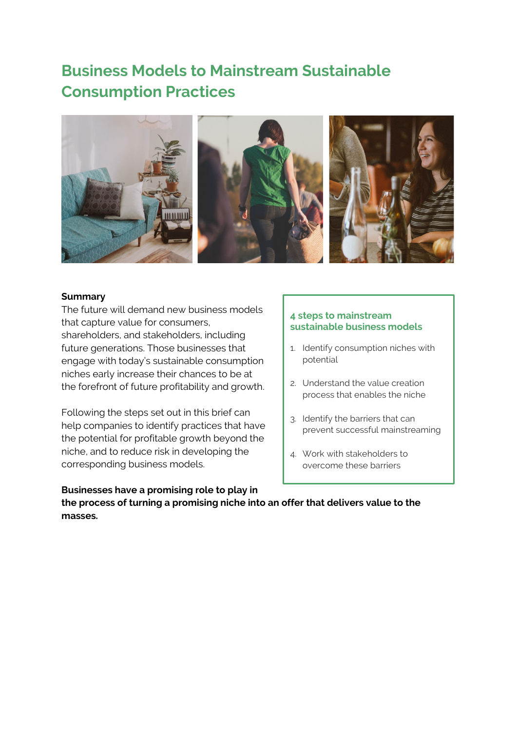## **Business Models to Mainstream Sustainable Consumption Practices**



### **Summary**

The future will demand new business models that capture value for consumers, shareholders, and stakeholders, including future generations. Those businesses that engage with today's sustainable consumption niches early increase their chances to be at the forefront of future profitability and growth.

Following the steps set out in this brief can help companies to identify practices that have the potential for profitable growth beyond the niche, and to reduce risk in developing the corresponding business models.

## **4 steps to mainstream sustainable business models**

- 1. Identify consumption niches with potential
- 2. Understand the value creation process that enables the niche
- 3. Identify the barriers that can prevent successful mainstreaming
- 4. Work with stakeholders to overcome these barriers

**Businesses have a promising role to play in the process of turning a promising niche into an offer that delivers value to the masses.**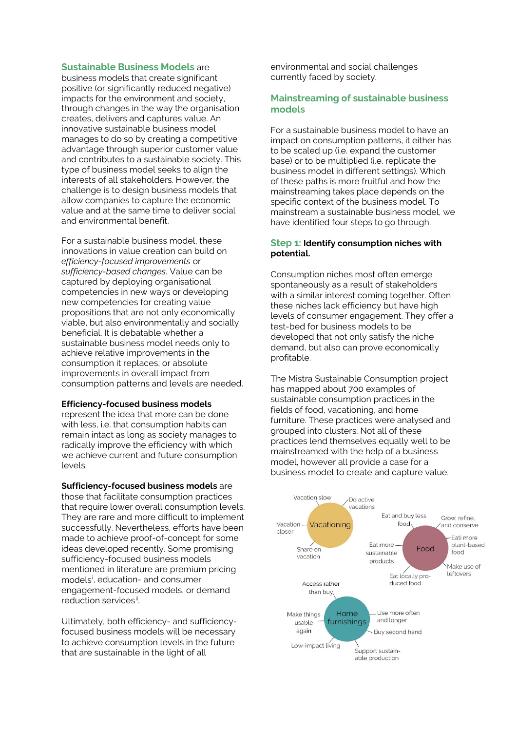#### **Sustainable Business Models** are

business models that create significant positive (or significantly reduced negative) impacts for the environment and society, through changes in the way the organisation creates, delivers and captures value. An innovative sustainable business model manages to do so by creating a competitive advantage through superior customer value and contributes to a sustainable society. This type of business model seeks to align the interests of all stakeholders. However, the challenge is to design business models that allow companies to capture the economic value and at the same time to deliver social and environmental benefit.

For a sustainable business model, these innovations in value creation can build on *efficiency-focused improvements* or *sufficiency-based changes*. Value can be captured by deploying organisational competencies in new ways or developing new competencies for creating value propositions that are not only economically viable, but also environmentally and socially beneficial. It is debatable whether a sustainable business model needs only to achieve relative improvements in the consumption it replaces, or absolute improvements in overall impact from consumption patterns and levels are needed.

#### **Efficiency-focused business models**

represent the idea that more can be done with less, i.e. that consumption habits can remain intact as long as society manages to radically improve the efficiency with which we achieve current and future consumption levels.

**Sufficiency-focused business models** are those that facilitate consumption practices that require lower overall consumption levels. They are rare and more difficult to implement successfully. Nevertheless, efforts have been made to achieve proof-of-concept for some ideas developed recently. Some promising sufficiency-focused business models mentioned in literature are premium pricing models<sup>[i](#page-4-0)</sup>, education- and consumer engagement-focused models, or demand reduction services[ii](#page-4-1) .

Ultimately, both efficiency- and sufficiencyfocused business models will be necessary to achieve consumption levels in the future that are sustainable in the light of all

environmental and social challenges currently faced by society.

### **Mainstreaming of sustainable business models**

For a sustainable business model to have an impact on consumption patterns, it either has to be scaled up (i.e. expand the customer base) or to be multiplied (i.e. replicate the business model in different settings). Which of these paths is more fruitful and how the mainstreaming takes place depends on the specific context of the business model. To mainstream a sustainable business model, we have identified four steps to go through.

#### **Step 1: Identify consumption niches with potential.**

Consumption niches most often emerge spontaneously as a result of stakeholders with a similar interest coming together. Often these niches lack efficiency but have high levels of consumer engagement. They offer a test-bed for business models to be developed that not only satisfy the niche demand, but also can prove economically profitable.

The Mistra Sustainable Consumption project has mapped about 700 examples of sustainable consumption practices in the fields of food, vacationing, and home furniture. These practices were analysed and grouped into clusters. Not all of these practices lend themselves equally well to be mainstreamed with the help of a business model, however all provide a case for a business model to create and capture value.

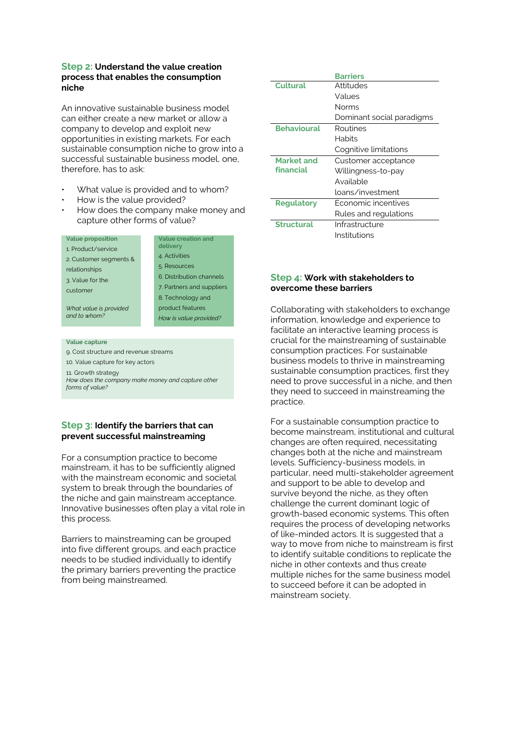#### **Step 2: Understand the value creation process that enables the consumption niche**

An innovative sustainable business model can either create a new market or allow a company to develop and exploit new opportunities in existing markets. For each sustainable consumption niche to grow into a successful sustainable business model, one therefore, has to ask:

- What value is provided and to whom?
- How is the value provided?
- How does the company make money and capture other forms of value?

| Value proposition |  |
|-------------------|--|

1. Product/service 2. Customer segments &

relationships

3. Value for the customer

**Value creation and delivery** 4. Activities 5. Resources 6. Distribution channels 7. Partners and suppliers 8. Technology and product features *How is value provided?*

*What value is provided and to whom?*

#### **Value capture**

9. Cost structure and revenue streams

10. Value capture for key actors

11. Growth strategy

*How does the company make money and capture other forms of value?*

## **Step 3: Identify the barriers that can prevent successful mainstreaming**

For a consumption practice to become mainstream, it has to be sufficiently aligned with the mainstream economic and societal system to break through the boundaries of the niche and gain mainstream acceptance. Innovative businesses often play a vital role in this process.

Barriers to mainstreaming can be grouped into five different groups, and each practice needs to be studied individually to identify the primary barriers preventing the practice from being mainstreamed.

|                    | <b>Barriers</b>           |
|--------------------|---------------------------|
| <b>Cultural</b>    | Attitudes                 |
|                    | Values                    |
|                    | Norms                     |
|                    | Dominant social paradigms |
| <b>Behavioural</b> | Routines                  |
|                    | Habits                    |
|                    | Cognitive limitations     |
| <b>Market and</b>  | Customer acceptance       |
|                    |                           |
| financial          | Willingness-to-pay        |
|                    | Available                 |
|                    | loans/investment          |
| <b>Regulatory</b>  | Economic incentives       |
|                    | Rules and regulations     |
| <b>Structural</b>  | Infrastructure            |

## **Step 4: Work with stakeholders to overcome these barriers**

Collaborating with stakeholders to exchange information, knowledge and experience to facilitate an interactive learning process is crucial for the mainstreaming of sustainable consumption practices. For sustainable business models to thrive in mainstreaming sustainable consumption practices, first they need to prove successful in a niche, and then they need to succeed in mainstreaming the practice.

For a sustainable consumption practice to become mainstream, institutional and cultural changes are often required, necessitating changes both at the niche and mainstream levels. Sufficiency-business models, in particular, need multi-stakeholder agreement and support to be able to develop and survive beyond the niche, as they often challenge the current dominant logic of growth-based economic systems. This often requires the process of developing networks of like-minded actors. It is suggested that a way to move from niche to mainstream is first to identify suitable conditions to replicate the niche in other contexts and thus create multiple niches for the same business model to succeed before it can be adopted in mainstream society.